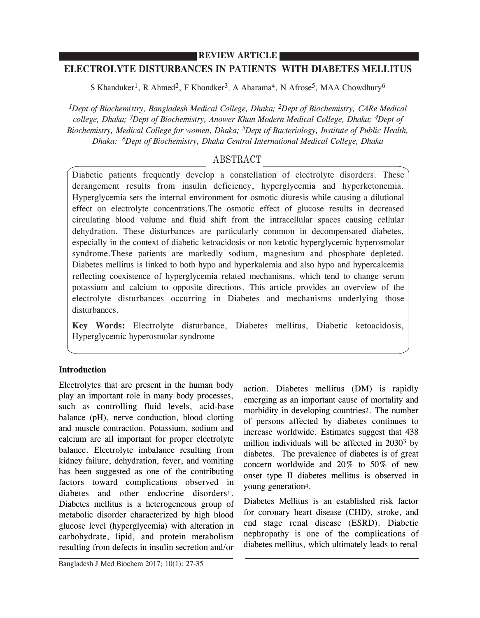## **REVIEW ARTICLE**

# **ELECTROLYTE DISTURBANCES IN PATIENTS WITH DIABETES MELLITUS**

S Khanduker<sup>1</sup>, R Ahmed<sup>2</sup>, F Khondker<sup>3</sup>, A Aharama<sup>4</sup>, N Afrose<sup>5</sup>, MAA Chowdhury<sup>6</sup>

*1Dept of Biochemistry, Bangladesh Medical College, Dhaka; 2Dept of Biochemistry, CARe Medical college, Dhaka; 3Dept of Biochemistry, Anower Khan Modern Medical College, Dhaka; 4Dept of Biochemistry, Medical College for women, Dhaka; 5Dept of Bacteriology, Institute of Public Health, Dhaka; 6Dept of Biochemistry, Dhaka Central International Medical College, Dhaka*

# ABSTRACT

Diabetic patients frequently develop a constellation of electrolyte disorders. These derangement results from insulin deficiency, hyperglycemia and hyperketonemia. Hyperglycemia sets the internal environment for osmotic diuresis while causing a dilutional effect on electrolyte concentrations.The osmotic effect of glucose results in decreased circulating blood volume and fluid shift from the intracellular spaces causing cellular dehydration. These disturbances are particularly common in decompensated diabetes, especially in the context of diabetic ketoacidosis or non ketotic hyperglycemic hyperosmolar syndrome.These patients are markedly sodium, magnesium and phosphate depleted. Diabetes mellitus is linked to both hypo and hyperkalemia and also hypo and hypercalcemia reflecting coexistence of hyperglycemia related mechanisms, which tend to change serum potassium and calcium to opposite directions. This article provides an overview of the electrolyte disturbances occurring in Diabetes and mechanisms underlying those disturbances.

**Key Words:** Electrolyte disturbance, Diabetes mellitus, Diabetic ketoacidosis, Hyperglycemic hyperosmolar syndrome

## **Introduction**

Electrolytes that are present in the human body play an important role in many body processes, such as controlling fluid levels, acid-base balance (pH), nerve conduction, blood clotting and muscle contraction. Potassium, sodium and calcium are all important for proper electrolyte balance. Electrolyte imbalance resulting from kidney failure, dehydration, fever, and vomiting has been suggested as one of the contributing factors toward complications observed in diabetes and other endocrine disorders1. Diabetes mellitus is a heterogeneous group of metabolic disorder characterized by high blood glucose level (hyperglycemia) with alteration in carbohydrate, lipid, and protein metabolism resulting from defects in insulin secretion and/or

action. Diabetes mellitus (DM) is rapidly emerging as an important cause of mortality and morbidity in developing countries2. The number of persons affected by diabetes continues to increase worldwide. Estimates suggest that 438 million individuals will be affected in 20303 by diabetes. The prevalence of diabetes is of great concern worldwide and 20% to 50% of new onset type II diabetes mellitus is observed in young generation4.

Diabetes Mellitus is an established risk factor for coronary heart disease (CHD), stroke, and end stage renal disease (ESRD). Diabetic nephropathy is one of the complications of diabetes mellitus, which ultimately leads to renal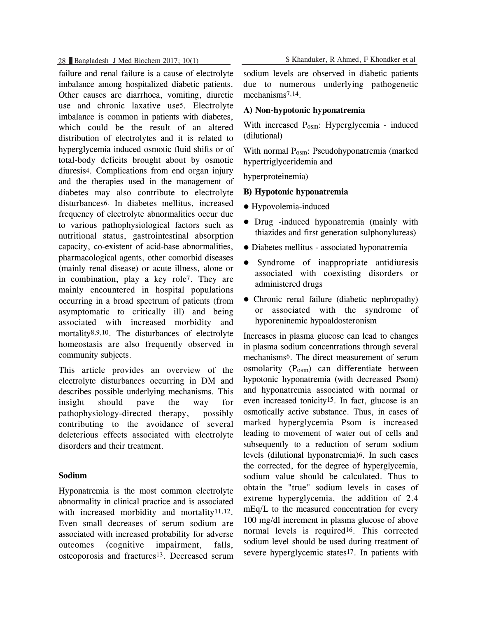failure and renal failure is a cause of electrolyte imbalance among hospitalized diabetic patients. Other causes are diarrhoea, vomiting, diuretic use and chronic laxative use5. Electrolyte imbalance is common in patients with diabetes, which could be the result of an altered distribution of electrolytes and it is related to hyperglycemia induced osmotic fluid shifts or of total-body deficits brought about by osmotic diuresis4. Complications from end organ injury and the therapies used in the management of diabetes may also contribute to electrolyte disturbances6. In diabetes mellitus, increased frequency of electrolyte abnormalities occur due to various pathophysiological factors such as nutritional status, gastrointestinal absorption capacity, co-existent of acid-base abnormalities, pharmacological agents, other comorbid diseases (mainly renal disease) or acute illness, alone or in combination, play a key role7. They are mainly encountered in hospital populations occurring in a broad spectrum of patients (from asymptomatic to critically ill) and being associated with increased morbidity and mortality8,9,10. The disturbances of electrolyte homeostasis are also frequently observed in community subjects.

This article provides an overview of the electrolyte disturbances occurring in DM and describes possible underlying mechanisms. This insight should pave the way for pathophysiology-directed therapy, possibly contributing to the avoidance of several deleterious effects associated with electrolyte disorders and their treatment.

## **Sodium**

Hyponatremia is the most common electrolyte abnormality in clinical practice and is associated with increased morbidity and mortality<sup>11,12</sup>. Even small decreases of serum sodium are associated with increased probability for adverse outcomes (cognitive impairment, falls, osteoporosis and fractures13. Decreased serum

28 Bangladesh J Med Biochem 2017; 10(1) S Khanduker, R Ahmed, F Khondker et al

sodium levels are observed in diabetic patients due to numerous underlying pathogenetic mechanisms7,14.

## **A) Non-hypotonic hyponatremia**

With increased P<sub>osm</sub>: Hyperglycemia - induced (dilutional)

With normal P<sub>osm</sub>: Pseudohyponatremia (marked hypertriglyceridemia and

hyperproteinemia)

## **B) Hypotonic hyponatremia**

- $\bullet$  Hypovolemia-induced
- Drug -induced hyponatremia (mainly with thiazides and first generation sulphonylureas)
- Diabetes mellitus associated hyponatremia
- Syndrome of inappropriate antidiuresis associated with coexisting disorders or administered drugs
- Chronic renal failure (diabetic nephropathy) or associated with the syndrome of hyporeninemic hypoaldosteronism

Increases in plasma glucose can lead to changes in plasma sodium concentrations through several mechanisms6. The direct measurement of serum osmolarity  $(P<sub>osm</sub>)$  can differentiate between hypotonic hyponatremia (with decreased Psom) and hyponatremia associated with normal or even increased tonicity15. In fact, glucose is an osmotically active substance. Thus, in cases of marked hyperglycemia Psom is increased leading to movement of water out of cells and subsequently to a reduction of serum sodium levels (dilutional hyponatremia)6. In such cases the corrected, for the degree of hyperglycemia, sodium value should be calculated. Thus to obtain the "true" sodium levels in cases of extreme hyperglycemia, the addition of 2.4 mEq/L to the measured concentration for every 100 mg/dl increment in plasma glucose of above normal levels is required16. This corrected sodium level should be used during treatment of severe hyperglycemic states<sup>17</sup>. In patients with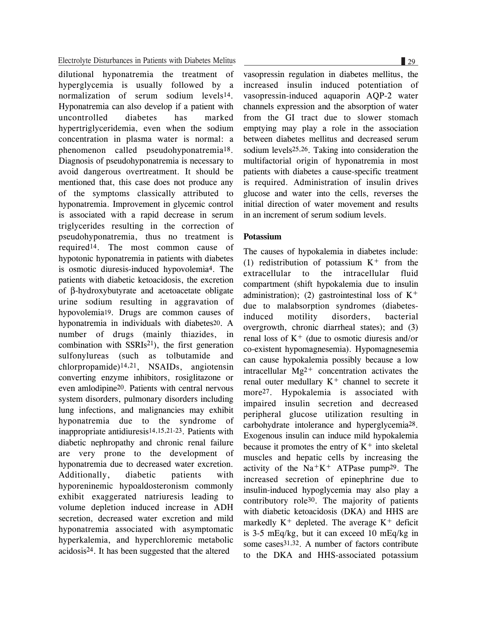dilutional hyponatremia the treatment of hyperglycemia is usually followed by a normalization of serum sodium levels14. Hyponatremia can also develop if a patient with uncontrolled diabetes has marked hypertriglyceridemia, even when the sodium concentration in plasma water is normal: a phenomenon called pseudohyponatremia18. Diagnosis of pseudohyponatremia is necessary to avoid dangerous overtreatment. It should be mentioned that, this case does not produce any of the symptoms classically attributed to hyponatremia. Improvement in glycemic control is associated with a rapid decrease in serum triglycerides resulting in the correction of pseudohyponatremia, thus no treatment is required14. The most common cause of hypotonic hyponatremia in patients with diabetes is osmotic diuresis-induced hypovolemia4. The patients with diabetic ketoacidosis, the excretion of β-hydroxybutyrate and acetoacetate obligate urine sodium resulting in aggravation of hypovolemia19. Drugs are common causes of hyponatremia in individuals with diabetes20. A number of drugs (mainly thiazides, in combination with  $SSRIs^{21}$ , the first generation sulfonylureas (such as tolbutamide and chlorpropamide)14,21, NSAIDs, angiotensin converting enzyme inhibitors, rosiglitazone or even amlodipine20. Patients with central nervous system disorders, pulmonary disorders including lung infections, and malignancies may exhibit hyponatremia due to the syndrome of inappropriate antidiuresis14,15,21-23. Patients with diabetic nephropathy and chronic renal failure are very prone to the development of hyponatremia due to decreased water excretion. Additionally, diabetic patients with hyporeninemic hypoaldosteronism commonly exhibit exaggerated natriuresis leading to volume depletion induced increase in ADH secretion, decreased water excretion and mild hyponatremia associated with asymptomatic hyperkalemia, and hyperchloremic metabolic acidosis24. It has been suggested that the altered

vasopressin regulation in diabetes mellitus, the increased insulin induced potentiation of vasopressin-induced aquaporin AQP-2 water channels expression and the absorption of water from the GI tract due to slower stomach emptying may play a role in the association between diabetes mellitus and decreased serum sodium levels25,26. Taking into consideration the multifactorial origin of hyponatremia in most patients with diabetes a cause-specific treatment is required. Administration of insulin drives glucose and water into the cells, reverses the initial direction of water movement and results in an increment of serum sodium levels.

## **Potassium**

The causes of hypokalemia in diabetes include: (1) redistribution of potassium  $K^+$  from the extracellular to the intracellular fluid compartment (shift hypokalemia due to insulin administration); (2) gastrointestinal loss of  $K^+$ due to malabsorption syndromes (diabetesinduced motility disorders, bacterial overgrowth, chronic diarrheal states); and (3) renal loss of  $K<sup>+</sup>$  (due to osmotic diuresis and/or co-existent hypomagnesemia). Hypomagnesemia can cause hypokalemia possibly because a low intracellular  $Mg^{2+}$  concentration activates the renal outer medullary  $K^+$  channel to secrete it more<sup>27</sup>. Hypokalemia is associated with impaired insulin secretion and decreased peripheral glucose utilization resulting in carbohydrate intolerance and hyperglycemia28. Exogenous insulin can induce mild hypokalemia because it promotes the entry of  $K^+$  into skeletal muscles and hepatic cells by increasing the activity of the  $Na+K^+$  ATPase pump<sup>29</sup>. The increased secretion of epinephrine due to insulin-induced hypoglycemia may also play a contributory role30. The majority of patients with diabetic ketoacidosis (DKA) and HHS are markedly  $K^+$  depleted. The average  $K^+$  deficit is 3-5 mEq/kg, but it can exceed 10 mEq/kg in some cases31,32. A number of factors contribute to the DKA and HHS-associated potassium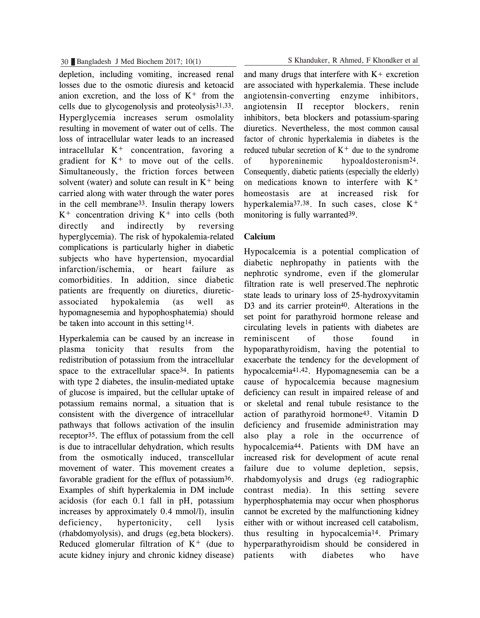depletion, including vomiting, increased renal losses due to the osmotic diuresis and ketoacid anion excretion, and the loss of  $K^+$  from the cells due to glycogenolysis and proteolysis31,33. Hyperglycemia increases serum osmolality resulting in movement of water out of cells. The loss of intracellular water leads to an increased  $intracellular K<sup>+</sup> concentration, favoring a$ gradient for  $K^+$  to move out of the cells. Simultaneously, the friction forces between solvent (water) and solute can result in  $K^+$  being carried along with water through the water pores in the cell membrane33. Insulin therapy lowers  $K^+$  concentration driving  $K^+$  into cells (both directly and indirectly by reversing hyperglycemia). The risk of hypokalemia-related complications is particularly higher in diabetic subjects who have hypertension, myocardial infarction/ischemia, or heart failure as comorbidities. In addition, since diabetic patients are frequently on diuretics, diureticassociated hypokalemia (as well as hypomagnesemia and hypophosphatemia) should be taken into account in this setting14.

Hyperkalemia can be caused by an increase in plasma tonicity that results from the redistribution of potassium from the intracellular space to the extracellular space<sup>34</sup>. In patients with type 2 diabetes, the insulin-mediated uptake of glucose is impaired, but the cellular uptake of potassium remains normal, a situation that is consistent with the divergence of intracellular pathways that follows activation of the insulin receptor35. The efflux of potassium from the cell is due to intracellular dehydration, which results from the osmotically induced, transcellular movement of water. This movement creates a favorable gradient for the efflux of potassium<sup>36</sup>. Examples of shift hyperkalemia in DM include acidosis (for each 0.1 fall in pH, potassium increases by approximately 0.4 mmol/l), insulin deficiency, hypertonicity, cell lysis (rhabdomyolysis), and drugs (eg,beta blockers). Reduced glomerular filtration of  $K^+$  (due to acute kidney injury and chronic kidney disease)

30 Bangladesh J Med Biochem 2017; 10(1) S Khanduker, R Ahmed, F Khondker et al

and many drugs that interfere with  $K<sup>+</sup>$  excretion are associated with hyperkalemia. These include angiotensin-converting enzyme inhibitors, angiotensin II receptor blockers, renin inhibitors, beta blockers and potassium-sparing diuretics. Nevertheless, the most common causal factor of chronic hyperkalemia in diabetes is the reduced tubular secretion of  $K^+$  due to the syndrome of hyporeninemic hypoaldosteronism24. Consequently, diabetic patients (especially the elderly) on medications known to interfere with  $K^+$ homeostasis are at increased risk for hyperkalemia<sup>37,38</sup>. In such cases, close  $K^+$ monitoring is fully warranted<sup>39</sup>.

## **Calcium**

Hypocalcemia is a potential complication of diabetic nephropathy in patients with the nephrotic syndrome, even if the glomerular filtration rate is well preserved.The nephrotic state leads to urinary loss of 25-hydroxyvitamin D3 and its carrier protein<sup>40</sup>. Alterations in the set point for parathyroid hormone release and circulating levels in patients with diabetes are reminiscent of those found in hypoparathyroidism, having the potential to exacerbate the tendency for the development of hypocalcemia41,42. Hypomagnesemia can be a cause of hypocalcemia because magnesium deficiency can result in impaired release of and or skeletal and renal tubule resistance to the action of parathyroid hormone43. Vitamin D deficiency and frusemide administration may also play a role in the occurrence of hypocalcemia44. Patients with DM have an increased risk for development of acute renal failure due to volume depletion, sepsis, rhabdomyolysis and drugs (eg radiographic contrast media). In this setting severe hyperphosphatemia may occur when phosphorus cannot be excreted by the malfunctioning kidney either with or without increased cell catabolism, thus resulting in hypocalcemia14. Primary hyperparathyroidism should be considered in patients with diabetes who have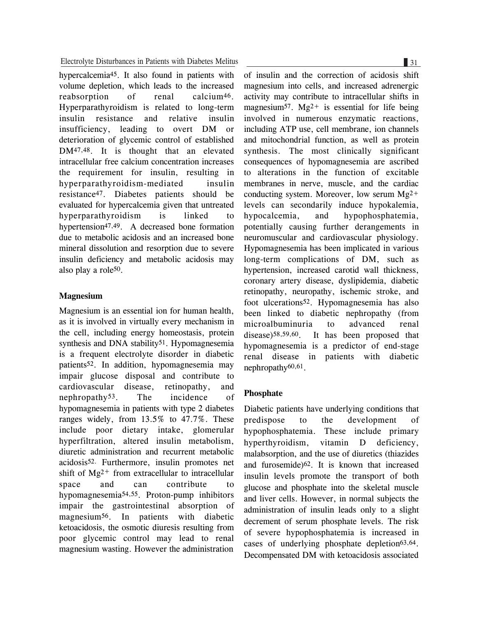hypercalcemia45. It also found in patients with volume depletion, which leads to the increased reabsorption of renal calcium<sup>46</sup>. Hyperparathyroidism is related to long-term insulin resistance and relative insulin insufficiency, leading to overt DM or deterioration of glycemic control of established DM47,48. It is thought that an elevated intracellular free calcium concentration increases the requirement for insulin, resulting in hyperparathyroidism-mediated insulin resistance47. Diabetes patients should be evaluated for hypercalcemia given that untreated hyperparathyroidism is linked to hypertension<sup>47,49</sup>. A decreased bone formation due to metabolic acidosis and an increased bone mineral dissolution and resorption due to severe insulin deficiency and metabolic acidosis may also play a role50.

## **Magnesium**

Magnesium is an essential ion for human health, as it is involved in virtually every mechanism in the cell, including energy homeostasis, protein synthesis and DNA stability<sup>51</sup>. Hypomagnesemia is a frequent electrolyte disorder in diabetic patients52. In addition, hypomagnesemia may impair glucose disposal and contribute to cardiovascular disease, retinopathy, and nephropathy53. The incidence of hypomagnesemia in patients with type 2 diabetes ranges widely, from 13.5% to 47.7%. These include poor dietary intake, glomerular hyperfiltration, altered insulin metabolism, diuretic administration and recurrent metabolic acidosis52. Furthermore, insulin promotes net shift of  $Mg^{2+}$  from extracellular to intracellular space and can contribute to hypomagnesemia54,55. Proton-pump inhibitors impair the gastrointestinal absorption of magnesium56. In patients with diabetic ketoacidosis, the osmotic diuresis resulting from poor glycemic control may lead to renal magnesium wasting. However the administration

of insulin and the correction of acidosis shift magnesium into cells, and increased adrenergic activity may contribute to intracellular shifts in magnesium<sup>57</sup>. Mg<sup>2+</sup> is essential for life being involved in numerous enzymatic reactions, including ATP use, cell membrane, ion channels and mitochondrial function, as well as protein synthesis. The most clinically significant consequences of hypomagnesemia are ascribed to alterations in the function of excitable membranes in nerve, muscle, and the cardiac conducting system. Moreover, low serum  $Mg^{2+}$ levels can secondarily induce hypokalemia, hypocalcemia, and hypophosphatemia, potentially causing further derangements in neuromuscular and cardiovascular physiology. Hypomagnesemia has been implicated in various long-term complications of DM, such as hypertension, increased carotid wall thickness, coronary artery disease, dyslipidemia, diabetic retinopathy, neuropathy, ischemic stroke, and foot ulcerations52. Hypomagnesemia has also been linked to diabetic nephropathy (from microalbuminuria to advanced renal disease)58,59,60. It has been proposed that hypomagnesemia is a predictor of end-stage renal disease in patients with diabetic nephropathy60,61.

## **Phosphate**

Diabetic patients have underlying conditions that predispose to the development of hypophosphatemia. These include primary hyperthyroidism, vitamin D deficiency, malabsorption, and the use of diuretics (thiazides and furosemide)62. It is known that increased insulin levels promote the transport of both glucose and phosphate into the skeletal muscle and liver cells. However, in normal subjects the administration of insulin leads only to a slight decrement of serum phosphate levels. The risk of severe hypophosphatemia is increased in cases of underlying phosphate depletion<sup>63,64</sup>. Decompensated DM with ketoacidosis associated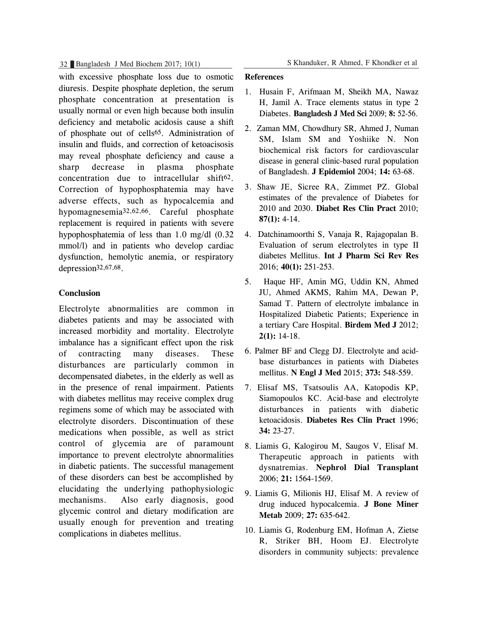with excessive phosphate loss due to osmotic diuresis. Despite phosphate depletion, the serum phosphate concentration at presentation is usually normal or even high because both insulin deficiency and metabolic acidosis cause a shift of phosphate out of cells65. Administration of insulin and fluids, and correction of ketoacisosis may reveal phosphate deficiency and cause a sharp decrease in plasma phosphate concentration due to intracellular shift<sup>62</sup>. Correction of hypophosphatemia may have adverse effects, such as hypocalcemia and hypomagnesemia32,62,66. Careful phosphate replacement is required in patients with severe hypophosphatemia of less than 1.0 mg/dl (0.32 mmol/l) and in patients who develop cardiac dysfunction, hemolytic anemia, or respiratory depression32,67,68.

## **Conclusion**

Electrolyte abnormalities are common in diabetes patients and may be associated with increased morbidity and mortality. Electrolyte imbalance has a significant effect upon the risk of contracting many diseases. These disturbances are particularly common in decompensated diabetes, in the elderly as well as in the presence of renal impairment. Patients with diabetes mellitus may receive complex drug regimens some of which may be associated with electrolyte disorders. Discontinuation of these medications when possible, as well as strict control of glycemia are of paramount importance to prevent electrolyte abnormalities in diabetic patients. The successful management of these disorders can best be accomplished by elucidating the underlying pathophysiologic mechanisms. Also early diagnosis, good glycemic control and dietary modification are usually enough for prevention and treating complications in diabetes mellitus.

### **References**

- 1. Husain F, Arifmaan M, Sheikh MA, Nawaz H, Jamil A. Trace elements status in type 2 Diabetes. **Bangladesh J Med Sci** 2009; **8:** 52-56.
- 2. Zaman MM, Chowdhury SR, Ahmed J, Numan SM, Islam SM and Yoshiike N. Non biochemical risk factors for cardiovascular disease in general clinic-based rural population of Bangladesh. **J Epidemiol** 2004; **14:** 63-68.
- 3. Shaw JE, Sicree RA, Zimmet PZ. Global estimates of the prevalence of Diabetes for 2010 and 2030. **Diabet Res Clin Pract** 2010; **87(1):** 4-14.
- 4. Datchinamoorthi S, Vanaja R, Rajagopalan B. Evaluation of serum electrolytes in type II diabetes Mellitus. **Int J Pharm Sci Rev Res** 2016; **40(1):** 251-253.
- 5. Haque HF, Amin MG, Uddin KN, Ahmed JU, Ahmed AKMS, Rahim MA, Dewan P, Samad T. Pattern of electrolyte imbalance in Hospitalized Diabetic Patients; Experience in a tertiary Care Hospital. **Birdem Med J** 2012; **2(1):** 14-18.
- 6. Palmer BF and Clegg DJ. Electrolyte and acidbase disturbances in patients with Diabetes mellitus. **N Engl J Med** 2015; **373:** 548-559.
- 7. Elisaf MS, Tsatsoulis AA, Katopodis KP, Siamopoulos KC. Acid-base and electrolyte disturbances in patients with diabetic ketoacidosis. **Diabetes Res Clin Pract** 1996; **34:** 23-27.
- 8. Liamis G, Kalogirou M, Saugos V, Elisaf M. Therapeutic approach in patients with dysnatremias. **Nephrol Dial Transplant** 2006; **21:** 1564-1569.
- 9. Liamis G, Milionis HJ, Elisaf M. A review of drug induced hypocalcemia. **J Bone Miner Metab** 2009; **27:** 635-642.
- 10. Liamis G, Rodenburg EM, Hofman A, Zietse R, Striker BH, Hoom EJ. Electrolyte disorders in community subjects: prevalence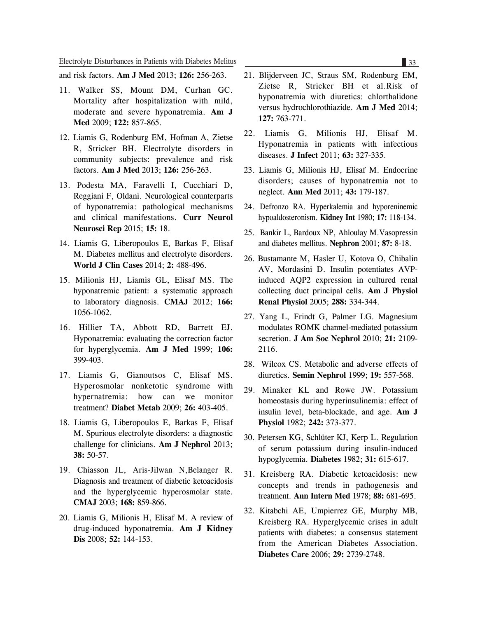and risk factors. **Am J Med** 2013; **126:** 256-263.

- 11. Walker SS, Mount DM, Curhan GC. Mortality after hospitalization with mild, moderate and severe hyponatremia. **Am J Med** 2009; **122:** 857-865.
- 12. Liamis G, Rodenburg EM, Hofman A, Zietse R, Stricker BH. Electrolyte disorders in community subjects: prevalence and risk factors. **Am J Med** 2013; **126:** 256-263.
- 13. Podesta MA, Faravelli I, Cucchiari D, Reggiani F, Oldani. Neurological counterparts of hyponatremia: pathological mechanisms and clinical manifestations. **Curr Neurol Neurosci Rep** 2015; **15:** 18.
- 14. Liamis G, Liberopoulos E, Barkas F, Elisaf M. Diabetes mellitus and electrolyte disorders. **World J Clin Cases** 2014; **2:** 488-496.
- 15. Milionis HJ, Liamis GL, Elisaf MS. The hyponatremic patient: a systematic approach to laboratory diagnosis. **CMAJ** 2012; **166:** 1056-1062.
- 16. Hillier TA, Abbott RD, Barrett EJ. Hyponatremia: evaluating the correction factor for hyperglycemia. **Am J Med** 1999; **106:** 399-403.
- 17. Liamis G, Gianoutsos C, Elisaf MS. Hyperosmolar nonketotic syndrome with hypernatremia: how can we monitor treatment? **Diabet Metab** 2009; **26:** 403-405.
- 18. Liamis G, Liberopoulos E, Barkas F, Elisaf M. Spurious electrolyte disorders: a diagnostic challenge for clinicians. **Am J Nephrol** 2013; **38:** 50-57.
- 19. Chiasson JL, Aris-Jilwan N,Belanger R. Diagnosis and treatment of diabetic ketoacidosis and the hyperglycemic hyperosmolar state. **CMAJ** 2003; **168:** 859-866.
- 20. Liamis G, Milionis H, Elisaf M. A review of drug-induced hyponatremia. **Am J Kidney Dis** 2008; **52:** 144-153.
- 21. Blijderveen JC, Straus SM, Rodenburg EM, Zietse R, Stricker BH et al.Risk of hyponatremia with diuretics: chlorthalidone versus hydrochlorothiazide. **Am J Med** 2014; **127:** 763-771.
- 22. Liamis G, Milionis HJ, Elisaf M. Hyponatremia in patients with infectious diseases. **J Infect** 2011; **63:** 327-335.
- 23. Liamis G, Milionis HJ, Elisaf M. Endocrine disorders; causes of hyponatremia not to neglect. **Ann Med** 2011; **43:** 179-187.
- 24. Defronzo RA. Hyperkalemia and hyporeninemic hypoaldosteronism. **Kidney Int** 1980; **17:** 118-134.
- 25. Bankir L, Bardoux NP, Ahloulay M.Vasopressin and diabetes mellitus. **Nephron** 2001; **87:** 8-18.
- 26. Bustamante M, Hasler U, Kotova O, Chibalin AV, Mordasini D. Insulin potentiates AVPinduced AQP2 expression in cultured renal collecting duct principal cells. **Am J Physiol Renal Physiol** 2005; **288:** 334-344.
- 27. Yang L, Frindt G, Palmer LG. Magnesium modulates ROMK channel-mediated potassium secretion. **J Am Soc Nephrol** 2010; **21:** 2109- 2116.
- 28. Wilcox CS. Metabolic and adverse effects of diuretics. **Semin Nephrol** 1999; **19:** 557-568.
- 29. Minaker KL and Rowe JW. Potassium homeostasis during hyperinsulinemia: effect of insulin level, beta-blockade, and age. **Am J Physiol** 1982; **242:** 373-377.
- 30. Petersen KG, Schlüter KJ, Kerp L. Regulation of serum potassium during insulin-induced hypoglycemia. **Diabetes** 1982; **31:** 615-617.
- 31. Kreisberg RA. Diabetic ketoacidosis: new concepts and trends in pathogenesis and treatment. **Ann Intern Med** 1978; **88:** 681-695.
- 32. Kitabchi AE, Umpierrez GE, Murphy MB, Kreisberg RA. Hyperglycemic crises in adult patients with diabetes: a consensus statement from the American Diabetes Association. **Diabetes Care** 2006; **29:** 2739-2748.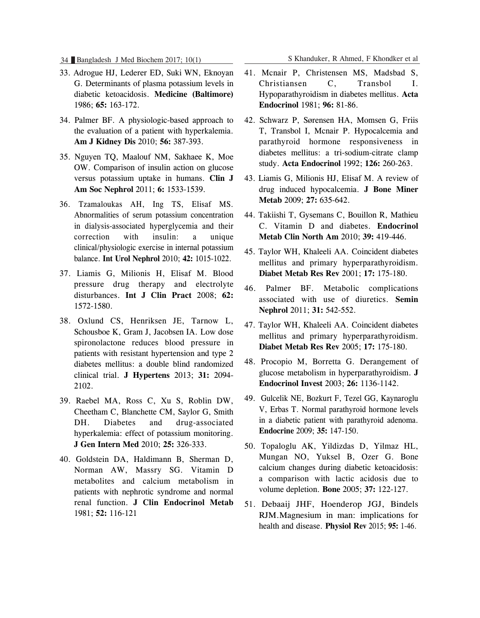34 Bangladesh J Med Biochem 2017; 10(1) S Khanduker, R Ahmed, F Khondker et al

- 33. Adrogue HJ, Lederer ED, Suki WN, Eknoyan G. Determinants of plasma potassium levels in diabetic ketoacidosis. **Medicine (Baltimore)** 1986; **65:** 163-172.
- 34. Palmer BF. A physiologic-based approach to the evaluation of a patient with hyperkalemia. **Am J Kidney Dis** 2010; **56:** 387-393.
- 35. Nguyen TQ, Maalouf NM, Sakhaee K, Moe OW. Comparison of insulin action on glucose versus potassium uptake in humans. **Clin J Am Soc Nephrol** 2011; **6:** 1533-1539.
- 36. Tzamaloukas AH, Ing TS, Elisaf MS. Abnormalities of serum potassium concentration in dialysis-associated hyperglycemia and their correction with insulin: a unique clinical/physiologic exercise in internal potassium balance. **Int Urol Nephrol** 2010; **42:** 1015-1022.
- 37. Liamis G, Milionis H, Elisaf M. Blood pressure drug therapy and electrolyte disturbances. **Int J Clin Pract** 2008; **62:** 1572-1580.
- 38. Oxlund CS, Henriksen JE, Tarnow L, Schousboe K, Gram J, Jacobsen IA. Low dose spironolactone reduces blood pressure in patients with resistant hypertension and type 2 diabetes mellitus: a double blind randomized clinical trial. **J Hypertens** 2013; **31:** 2094- 2102.
- 39. Raebel MA, Ross C, Xu S, Roblin DW, Cheetham C, Blanchette CM, Saylor G, Smith DH. Diabetes and drug-associated hyperkalemia: effect of potassium monitoring. **J Gen Intern Med** 2010; **25:** 326-333.
- 40. Goldstein DA, Haldimann B, Sherman D, Norman AW, Massry SG. Vitamin D metabolites and calcium metabolism in patients with nephrotic syndrome and normal renal function. **J Clin Endocrinol Metab** 1981; **52:** 116-121

41. Mcnair P, Christensen MS, Madsbad S, Christiansen C, Transbol I. Hypoparathyroidism in diabetes mellitus. **Acta Endocrinol** 1981; **96:** 81-86.

- 42. Schwarz P, Sørensen HA, Momsen G, Friis T, Transbol I, Mcnair P. Hypocalcemia and parathyroid hormone responsiveness in diabetes mellitus: a tri-sodium-citrate clamp study. **Acta Endocrinol** 1992; **126:** 260-263.
- 43. Liamis G, Milionis HJ, Elisaf M. A review of drug induced hypocalcemia. **J Bone Miner Metab** 2009; **27:** 635-642.
- 44. Takiishi T, Gysemans C, Bouillon R, Mathieu C. Vitamin D and diabetes. **Endocrinol Metab Clin North Am** 2010; **39:** 419-446.
- 45. Taylor WH, Khaleeli AA. Coincident diabetes mellitus and primary hyperparathyroidism. **Diabet Metab Res Rev** 2001; **17:** 175-180.
- 46. Palmer BF. Metabolic complications associated with use of diuretics. **Semin Nephrol** 2011; **31:** 542-552.
- 47. Taylor WH, Khaleeli AA. Coincident diabetes mellitus and primary hyperparathyroidism. **Diabet Metab Res Rev** 2005; **17:** 175-180.
- 48. Procopio M, Borretta G. Derangement of glucose metabolism in hyperparathyroidism. **J Endocrinol Invest** 2003; **26:** 1136-1142.
- 49. Gulcelik NE, Bozkurt F, Tezel GG, Kaynaroglu V, Erbas T. Normal parathyroid hormone levels in a diabetic patient with parathyroid adenoma. **Endocrine** 2009; **35:** 147-150.
- 50. Topaloglu AK, Yildizdas D, Yilmaz HL, Mungan NO, Yuksel B, Ozer G. Bone calcium changes during diabetic ketoacidosis: a comparison with lactic acidosis due to volume depletion. **Bone** 2005; **37:** 122-127.
- 51. Debaaij JHF, Hoenderop JGJ, Bindels RJM.Magnesium in man: implications for health and disease. **Physiol Rev** 2015; **95:** 1-46.